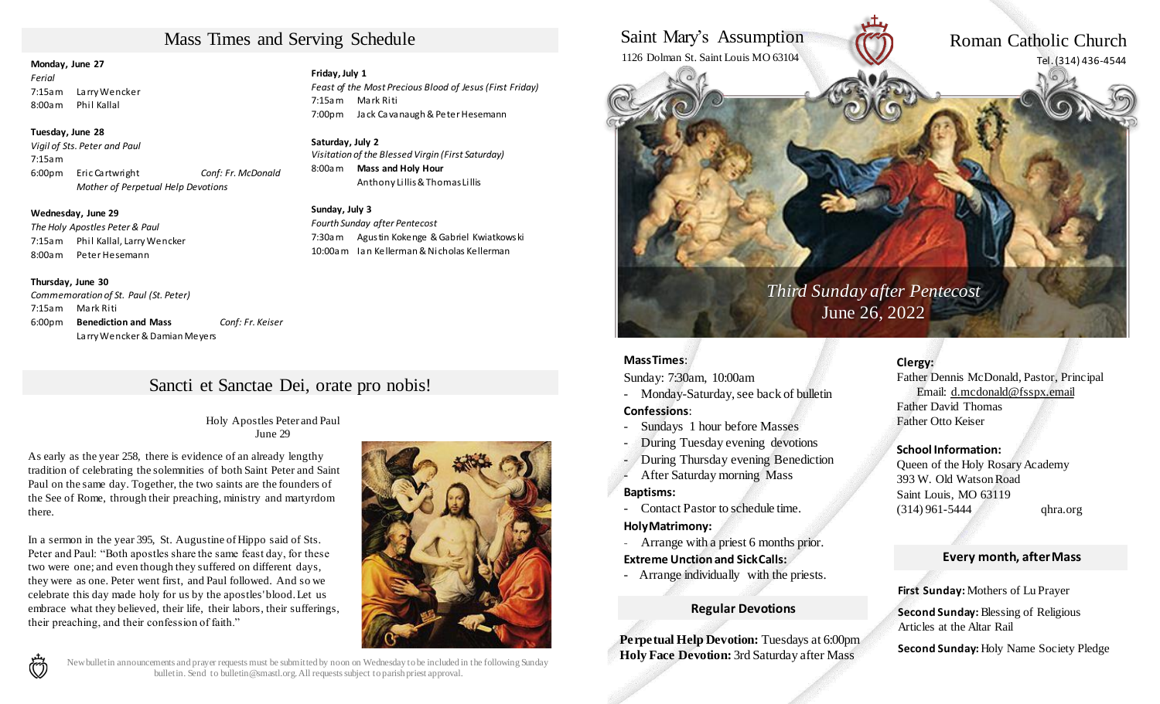# Mass Times and Serving Schedule

### **Monday, June 27**

*Ferial*  7:15am Larry Wencker 8:00am Phil Kallal

### **Tuesday, June 28**

*Vigil of Sts. Peter and Paul* 7:15am 6:00pm Eric Cartwright *Conf: Fr. McDonald Mother of Perpetual Help Devotions*

### **Wednesday, June 29**

*The Holy Apostles Peter & Paul* 7:15am Phil Kallal, Larry Wencker 8:00am Peter Hesemann

### **Thursday, June 30**

*Commemoration of St. Paul (St. Peter)* 7:15am Mark Riti 6:00pm **Benediction and Mass** *Conf: Fr. Keiser*  Larry Wencker& Damian Meyers

### **Friday, July 1**

*Feast of the Most Precious Blood of Jesus (First Friday)* 7:15am Mark Riti 7:00pm Jack Cavanaugh & Peter Hesemann

### **Saturday, July 2**

*Visitation of the Blessed Virgin (First Saturday)* 8:00am **Mass and Holy Hour** Anthony Lillis & Thomas Lillis

### **Sunday, July 3**

*Fourth Sunday after Pentecost* 7:30am Agustin Kokenge & Gabriel Kwiatkowski 10:00am Ian Kellerman & Nicholas Kellerman

# Sancti et Sanctae Dei, orate pro nobis!

Holy Apostles Peter and Paul June 29

As early as the year 258, there is evidence of an already lengthy tradition of celebrating the solemnities of both Saint Peter and Saint Paul on the same day. Together, the two saints are the founders of the See of Rome, through their preaching, ministry and martyrdom there.

In a sermon in the year 395, St. Augustine of Hippo said of Sts. Peter and Paul: "Both apostles share the same feast day, for these two were one; and even though they suffered on different days, they were as one. Peter went first, and Paul followed. And so we celebrate this day made holy for us by the apostles' blood. Let us embrace what they believed, their life, their labors, their sufferings, their preaching, and their confession of faith."



# ণ্টি

New bulletin announcements and prayer requests must be submitted by noon on Wednesday to be included in the following Sunday bulletin. Send to bulletin@smastl.org. All requests subject to parish priest approval.

## Saint Mary's Assumption 1126 Dolman St. Saint Louis MO 63104

Roman Catholic Church Tel. (314) 436-4544

# *Third Sunday after Pentecost* June 26, 2022

### **MassTimes**:

Sunday: 7:30am, 10:00am

- Monday-Saturday, see back of bulletin

### **Confessions**:

- Sundays 1 hour before Masses
- During Tuesday evening devotions
- During Thursday evening Benediction
- After Saturday morning Mass

### **Baptisms:**

- Contact Pastor to schedule time. **HolyMatrimony:**

- Arrange with a priest 6 months prior.

### **Extreme Unction and SickCalls:**

- Arrange individually with the priests.

### **Regular Devotions**

**Perpetual Help Devotion:** Tuesdays at 6:00pm **Holy Face Devotion:** 3rd Saturday after Mass

### **Clergy:**

Father Dennis McDonald, Pastor, Principal Email: d.mcdonald@fsspx.email Father David Thomas Father Otto Keiser

### **School Information:**

Queen of the Holy Rosary Academy 393 W. Old WatsonRoad Saint Louis, MO 63119 (314) 961-5444 qhra.org

### **Every month, afterMass**

**First Sunday:** Mothers of Lu Prayer

**Second Sunday: Blessing of Religious** Articles at the Altar Rail

**Second Sunday:** Holy Name Society Pledge